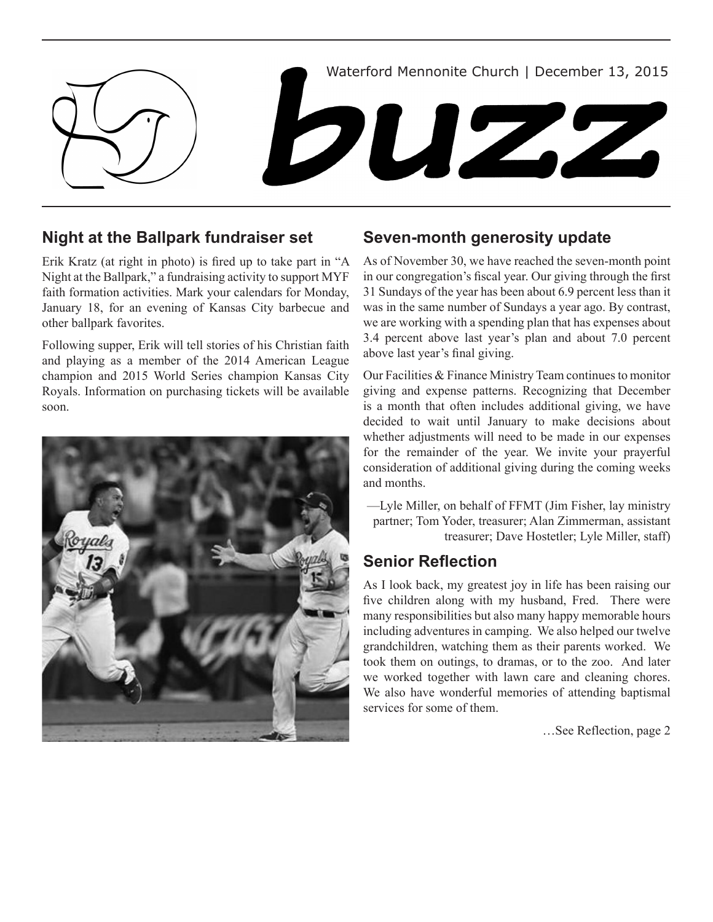

# **Night at the Ballpark fundraiser set**

Erik Kratz (at right in photo) is fired up to take part in "A Night at the Ballpark," a fundraising activity to support MYF faith formation activities. Mark your calendars for Monday, January 18, for an evening of Kansas City barbecue and other ballpark favorites.

Following supper, Erik will tell stories of his Christian faith and playing as a member of the 2014 American League champion and 2015 World Series champion Kansas City Royals. Information on purchasing tickets will be available soon.



## **Seven-month generosity update**

As of November 30, we have reached the seven-month point in our congregation's fiscal year. Our giving through the first 31 Sundays of the year has been about 6.9 percent less than it was in the same number of Sundays a year ago. By contrast, we are working with a spending plan that has expenses about 3.4 percent above last year's plan and about 7.0 percent above last year's final giving.

Our Facilities & Finance Ministry Team continues to monitor giving and expense patterns. Recognizing that December is a month that often includes additional giving, we have decided to wait until January to make decisions about whether adjustments will need to be made in our expenses for the remainder of the year. We invite your prayerful consideration of additional giving during the coming weeks and months.

—Lyle Miller, on behalf of FFMT (Jim Fisher, lay ministry partner; Tom Yoder, treasurer; Alan Zimmerman, assistant treasurer; Dave Hostetler; Lyle Miller, staff)

# **Senior Reflection**

As I look back, my greatest joy in life has been raising our five children along with my husband, Fred. There were many responsibilities but also many happy memorable hours including adventures in camping. We also helped our twelve grandchildren, watching them as their parents worked. We took them on outings, to dramas, or to the zoo. And later we worked together with lawn care and cleaning chores. We also have wonderful memories of attending baptismal services for some of them.

…See Reflection, page 2